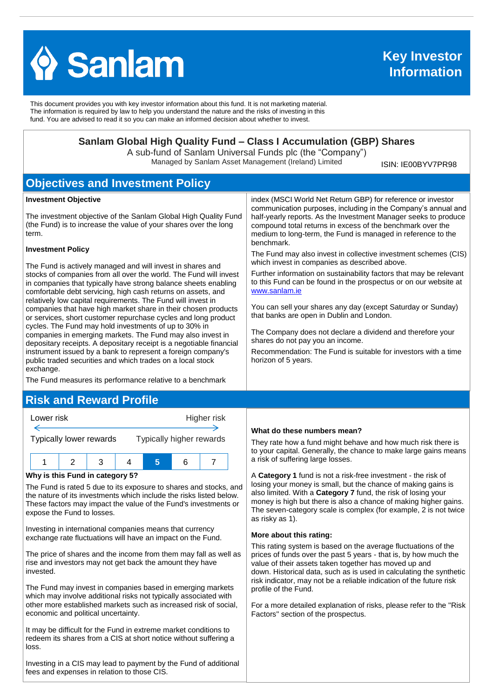

This document provides you with key investor information about this fund. It is not marketing material. The information is required by law to help you understand the nature and the risks of investing in this fund. You are advised to read it so you can make an informed decision about whether to invest.

### **Sanlam Global High Quality Fund – Class I Accumulation (GBP) Shares**

A sub-fund of Sanlam Universal Funds plc (the "Company") Managed by Sanlam Asset Management (Ireland) Limited

ISIN: IE00BYV7PR98

## **Objectives and Investment Policy**

#### **Investment Objective**

The investment objective of the Sanlam Global High Quality Fund (the Fund) is to increase the value of your shares over the long term.

#### **Investment Policy**

The Fund is actively managed and will invest in shares and stocks of companies from all over the world. The Fund will invest in companies that typically have strong balance sheets enabling comfortable debt servicing, high cash returns on assets, and relatively low capital requirements. The Fund will invest in companies that have high market share in their chosen products or services, short customer repurchase cycles and long product cycles. The Fund may hold investments of up to 30% in companies in emerging markets. The Fund may also invest in depositary receipts. A depositary receipt is a negotiable financial instrument issued by a bank to represent a foreign company's public traded securities and which trades on a local stock exchange.

The Fund measures its performance relative to a benchmark

# **Risk and Reward Profile**



#### **Why is this Fund in category 5?**

The Fund is rated 5 due to its exposure to shares and stocks, and the nature of its investments which include the risks listed below. These factors may impact the value of the Fund's investments or expose the Fund to losses.

Investing in international companies means that currency exchange rate fluctuations will have an impact on the Fund.

The price of shares and the income from them may fall as well as rise and investors may not get back the amount they have invested.

The Fund may invest in companies based in emerging markets which may involve additional risks not typically associated with other more established markets such as increased risk of social, economic and political uncertainty.

It may be difficult for the Fund in extreme market conditions to redeem its shares from a CIS at short notice without suffering a loss.

Investing in a CIS may lead to payment by the Fund of additional fees and expenses in relation to those CIS.

#### **What do these numbers mean?**

They rate how a fund might behave and how much risk there is to your capital. Generally, the chance to make large gains means a risk of suffering large losses.

A **Category 1** fund is not a risk-free investment - the risk of losing your money is small, but the chance of making gains is also limited. With a **Category 7** fund, the risk of losing your money is high but there is also a chance of making higher gains. The seven-category scale is complex (for example, 2 is not twice as risky as 1).

#### **More about this rating:**

This rating system is based on the average fluctuations of the prices of funds over the past 5 years - that is, by how much the value of their assets taken together has moved up and down. Historical data, such as is used in calculating the synthetic risk indicator, may not be a reliable indication of the future risk profile of the Fund.

For a more detailed explanation of risks, please refer to the ''Risk Factors'' section of the prospectus.

index (MSCI World Net Return GBP) for reference or investor communication purposes, including in the Company's annual and half-yearly reports. As the Investment Manager seeks to produce compound total returns in excess of the benchmark over the medium to long-term, the Fund is managed in reference to the benchmark.

The Fund may also invest in collective investment schemes (CIS) which invest in companies as described above.

Further information on sustainability factors that may be relevant to this Fund can be found in the prospectus or on our website at [www.sanlam.ie](http://www.sanlam.ie/)

You can sell your shares any day (except Saturday or Sunday) that banks are open in Dublin and London.

The Company does not declare a dividend and therefore your shares do not pay you an income.

Recommendation: The Fund is suitable for investors with a time horizon of 5 years.